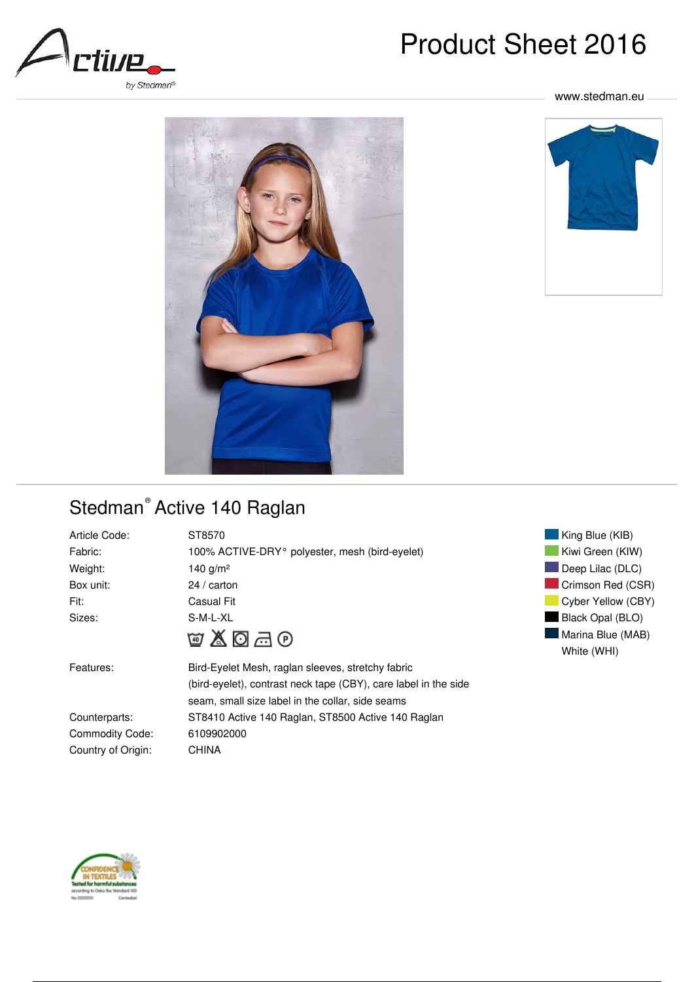

# Product Sheet 2016

#### www.stedman.eu





## Stedman<sup>®</sup> Active 140 Raglan

| Article Code:          | ST8570                                                          |
|------------------------|-----------------------------------------------------------------|
| Fabric:                | 100% ACTIVE-DRY <sup>o</sup> polyester, mesh (bird-eyelet)      |
| Weight:                | 140 $g/m^2$                                                     |
| Box unit:              | $24/$ carton                                                    |
| Fit:                   | Casual Fit                                                      |
| Sizes:                 | S-M-L-XL                                                        |
|                        | あてめめ                                                            |
| Features:              | Bird-Eyelet Mesh, raglan sleeves, stretchy fabric               |
|                        | (bird-eyelet), contrast neck tape (CBY), care label in the side |
|                        | seam, small size label in the collar, side seams                |
| Counterparts:          | ST8410 Active 140 Raglan, ST8500 Active 140 Raglan              |
| <b>Commodity Code:</b> | 6109902000                                                      |





Country of Origin: CHINA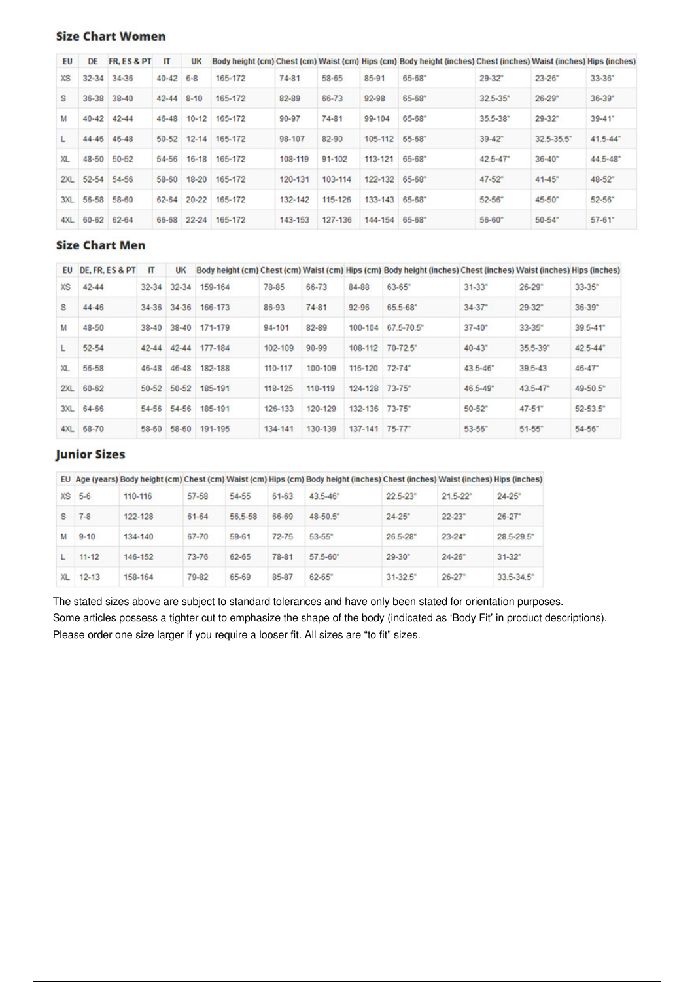#### **Size Chart Women**

| EU        | DE        | FR. ES&PT | П         | UK        |         |           |         |           | Body height (cm) Chest (cm) Waist (cm) Hips (cm) Body height (inches) Chest (inches) Waist (inches) Hips (inches) |             |            |                          |
|-----------|-----------|-----------|-----------|-----------|---------|-----------|---------|-----------|-------------------------------------------------------------------------------------------------------------------|-------------|------------|--------------------------|
| <b>XS</b> | $32 - 34$ | 34-36     | $40 - 42$ | $6 - 8$   | 165-172 | $74 - 81$ | 58-65   | $85 - 91$ | $65 - 68$                                                                                                         | $29 - 32$   | $23 - 26$  | $33 - 36$                |
| s         | $36 - 38$ | $38 - 40$ | $42 - 44$ | $8 - 10$  | 165-172 | 82-89     | 66-73   | 92-98     | 65-68"                                                                                                            | $32.5 - 35$ | $26 - 29$  | $36 - 39$                |
| м         | $40 - 42$ | $42 - 44$ | $46 - 48$ | $10 - 12$ | 165-172 | 90-97     | 74-81   | 99-104    | 65-68"                                                                                                            | 35.5-38"    | $29 - 32$  | $39 - 41$                |
|           | $44 - 46$ | 46-48     | 50-52     | $12 - 14$ | 165-172 | 98-107    | 82-90   | 105-112   | 65-68"                                                                                                            | $39 - 42$   | 32.5-35.5" | $41.5 - 44$ <sup>*</sup> |
| XL        | 48-50     | 50-52     | 54-56     | $16 - 18$ | 165-172 | 108-119   | 91-102  | 113-121   | $65 - 68$                                                                                                         | $42.5 - 47$ | $36 - 40$  | 44.5-48"                 |
| 2XL       | $52 - 54$ | 54-56     | 58-60     | $18 - 20$ | 165-172 | 120-131   | 103-114 | 122-132   | 65-68"                                                                                                            | $47 - 52$   | $41 - 45$  | 48-52"                   |
| 3XL       | 56-58     | 58-60     | 62-64     | $20 - 22$ | 165-172 | 132-142   | 115-126 | 133-143   | 65-68"                                                                                                            | $52 - 56$   | 45-50"     | $52 - 56$                |
| 4XL       | 60-62     | 62-64     | 66-68     | $22 - 24$ | 165-172 | 143-153   | 127-136 | 144-154   | 65-68"                                                                                                            | $56 - 60$   | $50 - 54$  | $57 - 61$                |

#### **Size Chart Men**

| EU             | DE. FR. ES & PT | $_{\text{IT}}$ | <b>UK</b> |         |         |           |         | Body height (cm) Chest (cm) Waist (cm) Hips (cm) Body height (inches) Chest (inches) Waist (inches) Hips (inches) |                        |              |                        |
|----------------|-----------------|----------------|-----------|---------|---------|-----------|---------|-------------------------------------------------------------------------------------------------------------------|------------------------|--------------|------------------------|
| <b>XS</b>      | $42 - 44$       | $32 - 34$      | $32 - 34$ | 159-164 | 78-85   | 66-73     | 84-88   | $63 - 65$                                                                                                         | $31 - 33$              | $26 - 29$    | $33 - 35$ <sup>*</sup> |
| s              | 44-46           | $34 - 36$      | 34-36     | 166-173 | 86-93   | 74-81     | 92-96   | 65.5-68"                                                                                                          | $34 - 37$              | $29 - 32$    | $36 - 39$              |
| м              | $48 - 50$       | $38 - 40$      | $38 - 40$ | 171-179 | 94-101  | 82-89     | 100-104 | 67.5-70.5"                                                                                                        | $37 - 40$ <sup>*</sup> | $33 - 35$    | $39.5 - 41$            |
| L              | 52-54           | $42 - 44$      | $42 - 44$ | 177-184 | 102-109 | $90 - 99$ | 108-112 | $70 - 72.5$                                                                                                       | $40 - 43"$             | $35.5 - 39$  | $42.5 - 44$            |
| X <sub>L</sub> | 56-58           | 46-48          | 46-48     | 182-188 | 110-117 | 100-109   | 116-120 | $72 - 74$ <sup>*</sup>                                                                                            | $43.5 - 46$            | $39.5 - 43$  | $46 - 47$              |
| 2XL            | 60-62           | 50-52          | $50 - 52$ | 185-191 | 118-125 | 110-119   | 124-128 | $73 - 75"$                                                                                                        | $46.5 - 49$            | $43.5 - 47"$ | 49-50.5"               |
| 3XL            | 64-66           | 54-56          | 54-56     | 185-191 | 126-133 | 120-129   | 132-136 | $73 - 75$                                                                                                         | $50 - 52$              | $47 - 51$    | $52 - 53.5$            |
| 4XL            | 68-70           | 58-60          | 58-60     | 191-195 | 134-141 | 130-139   | 137-141 | $75 - 77$                                                                                                         | $53 - 56$              | $51 - 55$    | $54 - 56$              |

### **Junior Sizes**

|    |           |         |       |         |           | EU Age (years) Body height (cm) Chest (cm) Waist (cm) Hips (cm) Body height (inches) Chest (inches) Waist (inches) Hips (inches) |             |             |               |
|----|-----------|---------|-------|---------|-----------|----------------------------------------------------------------------------------------------------------------------------------|-------------|-------------|---------------|
|    | $XS$ 5-6  | 110-116 | 57-58 | 54-55   | $61-63$   | $43.5 - 46$                                                                                                                      | $22.5 - 23$ | $21.5 - 22$ | $24 - 25$     |
| s  | $7 - 8$   | 122-128 | 61-64 | 56,5-58 | 66-69     | 48-50.5                                                                                                                          | $24 - 25$   | $22 - 23$   | $26 - 27$     |
| м  | $9 - 10$  | 134-140 | 67-70 | 59-61   | $72 - 75$ | $53 - 55$                                                                                                                        | $26.5 - 28$ | $23 - 24$   | 28.5-29.5     |
|    | $11 - 12$ | 146-152 | 73-76 | 62-65   | 78-81     | $57.5 - 60$                                                                                                                      | $29 - 30"$  | $24 - 26$   | $31 - 32$     |
| XL | $12 - 13$ | 158-164 | 79-82 | 65-69   | 85-87     | $62 - 65$                                                                                                                        | $31 - 32.5$ | $26 - 27$   | $33.5 - 34.5$ |

The stated sizes above are subject to standard tolerances and have only been stated for orientation purposes. Some articles possess a tighter cut to emphasize the shape of the body (indicated as 'Body Fit' in product descriptions). Please order one size larger if you require a looser fit. All sizes are "to fit" sizes.